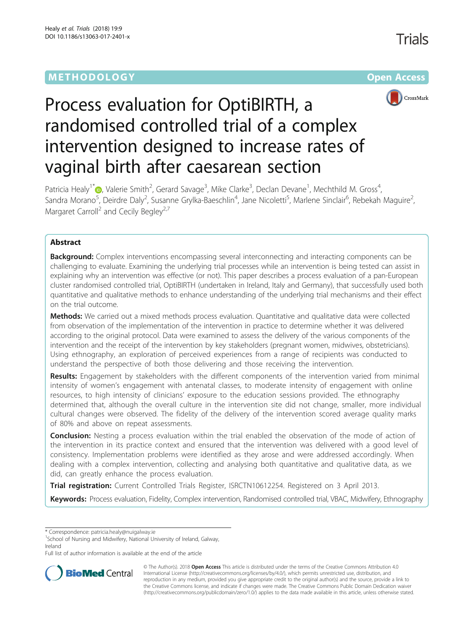# **METHODOLOGY CONSUMING ACCESS CONSUMING ACCESS**



# Process evaluation for OptiBIRTH, a randomised controlled trial of a complex intervention designed to increase rates of vaginal birth after caesarean section

Patricia Healy<sup>1[\\*](http://orcid.org/0000-0003-0865-7050)</sup> D, Valerie Smith<sup>2</sup>, Gerard Savage<sup>3</sup>, Mike Clarke<sup>3</sup>, Declan Devane<sup>1</sup>, Mechthild M. Gross<sup>4</sup> , Sandra Morano<sup>5</sup>, Deirdre Daly<sup>2</sup>, Susanne Grylka-Baeschlin<sup>4</sup>, Jane Nicoletti<sup>5</sup>, Marlene Sinclair<sup>6</sup>, Rebekah Maguire<sup>2</sup> .<br>, Margaret Carroll<sup>2</sup> and Cecily Begley<sup>2,7</sup>

# Abstract

**Background:** Complex interventions encompassing several interconnecting and interacting components can be challenging to evaluate. Examining the underlying trial processes while an intervention is being tested can assist in explaining why an intervention was effective (or not). This paper describes a process evaluation of a pan-European cluster randomised controlled trial, OptiBIRTH (undertaken in Ireland, Italy and Germany), that successfully used both quantitative and qualitative methods to enhance understanding of the underlying trial mechanisms and their effect on the trial outcome.

Methods: We carried out a mixed methods process evaluation. Quantitative and qualitative data were collected from observation of the implementation of the intervention in practice to determine whether it was delivered according to the original protocol. Data were examined to assess the delivery of the various components of the intervention and the receipt of the intervention by key stakeholders (pregnant women, midwives, obstetricians). Using ethnography, an exploration of perceived experiences from a range of recipients was conducted to understand the perspective of both those delivering and those receiving the intervention.

Results: Engagement by stakeholders with the different components of the intervention varied from minimal intensity of women's engagement with antenatal classes, to moderate intensity of engagement with online resources, to high intensity of clinicians' exposure to the education sessions provided. The ethnography determined that, although the overall culture in the intervention site did not change, smaller, more individual cultural changes were observed. The fidelity of the delivery of the intervention scored average quality marks of 80% and above on repeat assessments.

**Conclusion:** Nesting a process evaluation within the trial enabled the observation of the mode of action of the intervention in its practice context and ensured that the intervention was delivered with a good level of consistency. Implementation problems were identified as they arose and were addressed accordingly. When dealing with a complex intervention, collecting and analysing both quantitative and qualitative data, as we did, can greatly enhance the process evaluation.

Trial registration: Current Controlled Trials Register, [ISRCTN10612254.](https://doi.org/10.1186/ISRCTN10612254) Registered on 3 April 2013.

Keywords: Process evaluation, Fidelity, Complex intervention, Randomised controlled trial, VBAC, Midwifery, Ethnography

\* Correspondence: [patricia.healy@nuigalway.ie](mailto:patricia.healy@nuigalway.ie) <sup>1</sup>

<sup>1</sup>School of Nursing and Midwifery, National University of Ireland, Galway, Ireland

Full list of author information is available at the end of the article



© The Author(s). 2018 Open Access This article is distributed under the terms of the Creative Commons Attribution 4.0 International License [\(http://creativecommons.org/licenses/by/4.0/](http://creativecommons.org/licenses/by/4.0/)), which permits unrestricted use, distribution, and reproduction in any medium, provided you give appropriate credit to the original author(s) and the source, provide a link to the Creative Commons license, and indicate if changes were made. The Creative Commons Public Domain Dedication waiver [\(http://creativecommons.org/publicdomain/zero/1.0/](http://creativecommons.org/publicdomain/zero/1.0/)) applies to the data made available in this article, unless otherwise stated.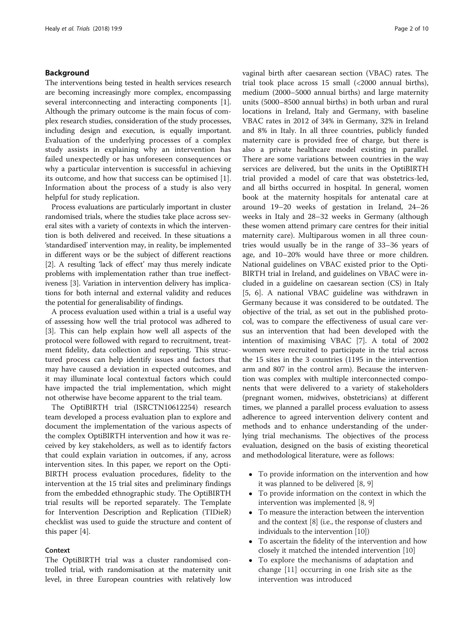# Background

The interventions being tested in health services research are becoming increasingly more complex, encompassing several interconnecting and interacting components [[1](#page-9-0)]. Although the primary outcome is the main focus of complex research studies, consideration of the study processes, including design and execution, is equally important. Evaluation of the underlying processes of a complex study assists in explaining why an intervention has failed unexpectedly or has unforeseen consequences or why a particular intervention is successful in achieving its outcome, and how that success can be optimised [\[1](#page-9-0)]. Information about the process of a study is also very helpful for study replication.

Process evaluations are particularly important in cluster randomised trials, where the studies take place across several sites with a variety of contexts in which the intervention is both delivered and received. In these situations a 'standardised' intervention may, in reality, be implemented in different ways or be the subject of different reactions [[2\]](#page-9-0). A resulting 'lack of effect' may thus merely indicate problems with implementation rather than true ineffectiveness [\[3](#page-9-0)]. Variation in intervention delivery has implications for both internal and external validity and reduces the potential for generalisability of findings.

A process evaluation used within a trial is a useful way of assessing how well the trial protocol was adhered to [[3\]](#page-9-0). This can help explain how well all aspects of the protocol were followed with regard to recruitment, treatment fidelity, data collection and reporting. This structured process can help identify issues and factors that may have caused a deviation in expected outcomes, and it may illuminate local contextual factors which could have impacted the trial implementation, which might not otherwise have become apparent to the trial team.

The OptiBIRTH trial (ISRCTN10612254) research team developed a process evaluation plan to explore and document the implementation of the various aspects of the complex OptiBIRTH intervention and how it was received by key stakeholders, as well as to identify factors that could explain variation in outcomes, if any, across intervention sites. In this paper, we report on the Opti-BIRTH process evaluation procedures, fidelity to the intervention at the 15 trial sites and preliminary findings from the embedded ethnographic study. The OptiBIRTH trial results will be reported separately. The Template for Intervention Description and Replication (TIDieR) checklist was used to guide the structure and content of this paper [\[4](#page-9-0)].

# Context

The OptiBIRTH trial was a cluster randomised controlled trial, with randomisation at the maternity unit level, in three European countries with relatively low vaginal birth after caesarean section (VBAC) rates. The trial took place across 15 small (<2000 annual births), medium (2000–5000 annual births) and large maternity units (5000–8500 annual births) in both urban and rural locations in Ireland, Italy and Germany, with baseline VBAC rates in 2012 of 34% in Germany, 32% in Ireland and 8% in Italy. In all three countries, publicly funded maternity care is provided free of charge, but there is also a private healthcare model existing in parallel. There are some variations between countries in the way services are delivered, but the units in the OptiBIRTH trial provided a model of care that was obstetrics-led, and all births occurred in hospital. In general, women book at the maternity hospitals for antenatal care at around 19–20 weeks of gestation in Ireland, 24–26 weeks in Italy and 28–32 weeks in Germany (although these women attend primary care centres for their initial maternity care). Multiparous women in all three countries would usually be in the range of 33–36 years of age, and 10–20% would have three or more children. National guidelines on VBAC existed prior to the Opti-BIRTH trial in Ireland, and guidelines on VBAC were included in a guideline on caesarean section (CS) in Italy [[5, 6](#page-9-0)]. A national VBAC guideline was withdrawn in Germany because it was considered to be outdated. The objective of the trial, as set out in the published protocol, was to compare the effectiveness of usual care versus an intervention that had been developed with the intention of maximising VBAC [[7\]](#page-9-0). A total of 2002 women were recruited to participate in the trial across the 15 sites in the 3 countries (1195 in the intervention arm and 807 in the control arm). Because the intervention was complex with multiple interconnected components that were delivered to a variety of stakeholders (pregnant women, midwives, obstetricians) at different times, we planned a parallel process evaluation to assess adherence to agreed intervention delivery content and methods and to enhance understanding of the underlying trial mechanisms. The objectives of the process evaluation, designed on the basis of existing theoretical and methodological literature, were as follows:

- To provide information on the intervention and how it was planned to be delivered [[8](#page-9-0), [9](#page-9-0)]
- To provide information on the context in which the intervention was implemented [\[8,](#page-9-0) [9\]](#page-9-0)
- To measure the interaction between the intervention and the context [\[8\]](#page-9-0) (i.e., the response of clusters and individuals to the intervention [[10](#page-9-0)])
- To ascertain the fidelity of the intervention and how closely it matched the intended intervention [\[10\]](#page-9-0)
- To explore the mechanisms of adaptation and change [[11](#page-9-0)] occurring in one Irish site as the intervention was introduced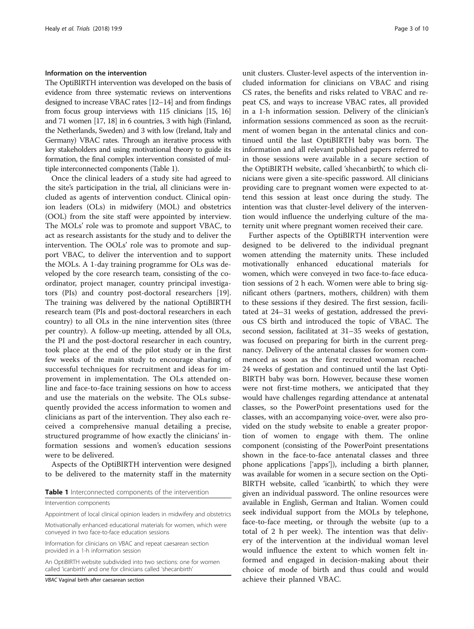# Information on the intervention

The OptiBIRTH intervention was developed on the basis of evidence from three systematic reviews on interventions designed to increase VBAC rates [\[12](#page-9-0)–[14\]](#page-9-0) and from findings from focus group interviews with 115 clinicians [\[15](#page-9-0), [16](#page-9-0)] and 71 women [\[17](#page-9-0), [18](#page-9-0)] in 6 countries, 3 with high (Finland, the Netherlands, Sweden) and 3 with low (Ireland, Italy and Germany) VBAC rates. Through an iterative process with key stakeholders and using motivational theory to guide its formation, the final complex intervention consisted of multiple interconnected components (Table 1).

Once the clinical leaders of a study site had agreed to the site's participation in the trial, all clinicians were included as agents of intervention conduct. Clinical opinion leaders (OLs) in midwifery (MOL) and obstetrics (OOL) from the site staff were appointed by interview. The MOLs' role was to promote and support VBAC, to act as research assistants for the study and to deliver the intervention. The OOLs' role was to promote and support VBAC, to deliver the intervention and to support the MOLs. A 1-day training programme for OLs was developed by the core research team, consisting of the coordinator, project manager, country principal investigators (PIs) and country post-doctoral researchers [\[19](#page-9-0)]. The training was delivered by the national OptiBIRTH research team (PIs and post-doctoral researchers in each country) to all OLs in the nine intervention sites (three per country). A follow-up meeting, attended by all OLs, the PI and the post-doctoral researcher in each country, took place at the end of the pilot study or in the first few weeks of the main study to encourage sharing of successful techniques for recruitment and ideas for improvement in implementation. The OLs attended online and face-to-face training sessions on how to access and use the materials on the website. The OLs subsequently provided the access information to women and clinicians as part of the intervention. They also each received a comprehensive manual detailing a precise, structured programme of how exactly the clinicians' information sessions and women's education sessions were to be delivered.

Aspects of the OptiBIRTH intervention were designed to be delivered to the maternity staff in the maternity

Intervention components

Appointment of local clinical opinion leaders in midwifery and obstetrics

Motivationally enhanced educational materials for women, which were conveyed in two face-to-face education sessions

Information for clinicians on VBAC and repeat caesarean section provided in a 1-h information session

An OptiBIRTH website subdivided into two sections: one for women called 'icanbirth' and one for clinicians called 'shecanbirth'

VBAC Vaginal birth after caesarean section

unit clusters. Cluster-level aspects of the intervention included information for clinicians on VBAC and rising CS rates, the benefits and risks related to VBAC and repeat CS, and ways to increase VBAC rates, all provided in a 1-h information session. Delivery of the clinician's information sessions commenced as soon as the recruitment of women began in the antenatal clinics and continued until the last OptiBIRTH baby was born. The information and all relevant published papers referred to in those sessions were available in a secure section of the OptiBIRTH website, called 'shecanbirth', to which clinicians were given a site-specific password. All clinicians providing care to pregnant women were expected to attend this session at least once during the study. The intention was that cluster-level delivery of the intervention would influence the underlying culture of the maternity unit where pregnant women received their care.

Further aspects of the OptiBIRTH intervention were designed to be delivered to the individual pregnant women attending the maternity units. These included motivationally enhanced educational materials for women, which were conveyed in two face-to-face education sessions of 2 h each. Women were able to bring significant others (partners, mothers, children) with them to these sessions if they desired. The first session, facilitated at 24–31 weeks of gestation, addressed the previous CS birth and introduced the topic of VBAC. The second session, facilitated at 31–35 weeks of gestation, was focused on preparing for birth in the current pregnancy. Delivery of the antenatal classes for women commenced as soon as the first recruited woman reached 24 weeks of gestation and continued until the last Opti-BIRTH baby was born. However, because these women were not first-time mothers, we anticipated that they would have challenges regarding attendance at antenatal classes, so the PowerPoint presentations used for the classes, with an accompanying voice-over, were also provided on the study website to enable a greater proportion of women to engage with them. The online component (consisting of the PowerPoint presentations shown in the face-to-face antenatal classes and three phone applications ['apps']), including a birth planner, was available for women in a secure section on the Opti-BIRTH website, called 'icanbirth', to which they were given an individual password. The online resources were available in English, German and Italian. Women could seek individual support from the MOLs by telephone, face-to-face meeting, or through the website (up to a total of 2 h per week). The intention was that delivery of the intervention at the individual woman level would influence the extent to which women felt informed and engaged in decision-making about their choice of mode of birth and thus could and would achieve their planned VBAC.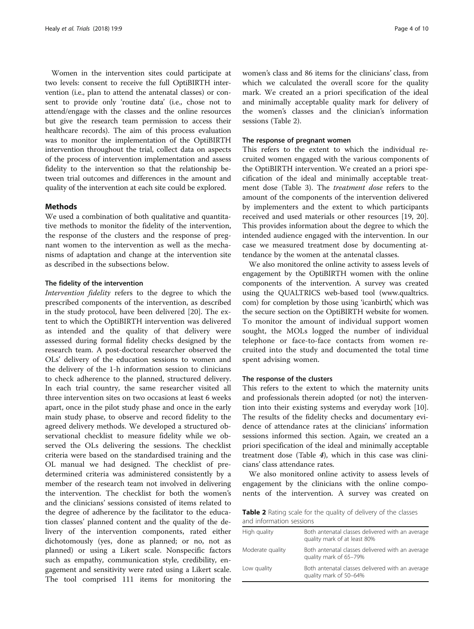Women in the intervention sites could participate at two levels: consent to receive the full OptiBIRTH intervention (i.e., plan to attend the antenatal classes) or consent to provide only 'routine data' (i.e., chose not to attend/engage with the classes and the online resources but give the research team permission to access their healthcare records). The aim of this process evaluation was to monitor the implementation of the OptiBIRTH intervention throughout the trial, collect data on aspects of the process of intervention implementation and assess fidelity to the intervention so that the relationship between trial outcomes and differences in the amount and quality of the intervention at each site could be explored.

#### Methods

We used a combination of both qualitative and quantitative methods to monitor the fidelity of the intervention, the response of the clusters and the response of pregnant women to the intervention as well as the mechanisms of adaptation and change at the intervention site as described in the subsections below.

# The fidelity of the intervention

Intervention fidelity refers to the degree to which the prescribed components of the intervention, as described in the study protocol, have been delivered [\[20](#page-9-0)]. The extent to which the OptiBIRTH intervention was delivered as intended and the quality of that delivery were assessed during formal fidelity checks designed by the research team. A post-doctoral researcher observed the OLs' delivery of the education sessions to women and the delivery of the 1-h information session to clinicians to check adherence to the planned, structured delivery. In each trial country, the same researcher visited all three intervention sites on two occasions at least 6 weeks apart, once in the pilot study phase and once in the early main study phase, to observe and record fidelity to the agreed delivery methods. We developed a structured observational checklist to measure fidelity while we observed the OLs delivering the sessions. The checklist criteria were based on the standardised training and the OL manual we had designed. The checklist of predetermined criteria was administered consistently by a member of the research team not involved in delivering the intervention. The checklist for both the women's and the clinicians' sessions consisted of items related to the degree of adherence by the facilitator to the education classes' planned content and the quality of the delivery of the intervention components, rated either dichotomously (yes, done as planned; or no, not as planned) or using a Likert scale. Nonspecific factors such as empathy, communication style, credibility, engagement and sensitivity were rated using a Likert scale. The tool comprised 111 items for monitoring the women's class and 86 items for the clinicians' class, from which we calculated the overall score for the quality mark. We created an a priori specification of the ideal and minimally acceptable quality mark for delivery of the women's classes and the clinician's information sessions (Table 2).

#### The response of pregnant women

This refers to the extent to which the individual recruited women engaged with the various components of the OptiBIRTH intervention. We created an a priori specification of the ideal and minimally acceptable treatment dose (Table [3](#page-4-0)). The treatment dose refers to the amount of the components of the intervention delivered by implementers and the extent to which participants received and used materials or other resources [[19, 20](#page-9-0)]. This provides information about the degree to which the intended audience engaged with the intervention. In our case we measured treatment dose by documenting attendance by the women at the antenatal classes.

We also monitored the online activity to assess levels of engagement by the OptiBIRTH women with the online components of the intervention. A survey was created using the QUALTRICS web-based tool ([www.qualtrics.](http://www.qualtrics.com/) [com](http://www.qualtrics.com/)) for completion by those using 'icanbirth', which was the secure section on the OptiBIRTH website for women. To monitor the amount of individual support women sought, the MOLs logged the number of individual telephone or face-to-face contacts from women recruited into the study and documented the total time spent advising women.

### The response of the clusters

This refers to the extent to which the maternity units and professionals therein adopted (or not) the intervention into their existing systems and everyday work [\[10](#page-9-0)]. The results of the fidelity checks and documentary evidence of attendance rates at the clinicians' information sessions informed this section. Again, we created an a priori specification of the ideal and minimally acceptable treatment dose (Table [4](#page-4-0)), which in this case was clinicians' class attendance rates.

We also monitored online activity to assess levels of engagement by the clinicians with the online components of the intervention. A survey was created on

Table 2 Rating scale for the quality of delivery of the classes and information sessions

| High quality     | Both antenatal classes delivered with an average<br>quality mark of at least 80% |  |
|------------------|----------------------------------------------------------------------------------|--|
| Moderate quality | Both antenatal classes delivered with an average<br>quality mark of 65-79%       |  |
| Low quality      | Both antenatal classes delivered with an average<br>quality mark of 50-64%       |  |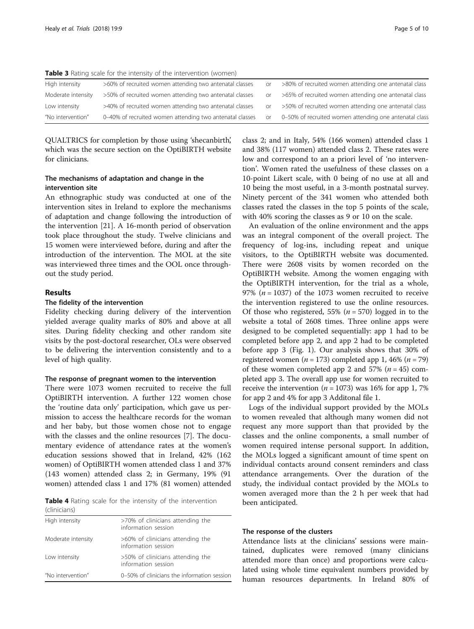| <b>Table 3</b> Rating scale for the intensity of the intervention (women) |                                                          |            |                                                        |  |
|---------------------------------------------------------------------------|----------------------------------------------------------|------------|--------------------------------------------------------|--|
| High intensity                                                            | >60% of recruited women attending two antenatal classes  | $\Omega$ r | >80% of recruited women attending one antenatal class  |  |
| Moderate intensity                                                        | >50% of recruited women attending two antenatal classes  | $\Omega$ r | >65% of recruited women attending one antenatal class  |  |
| Low intensity                                                             | >40% of recruited women attending two antenatal classes  | $\Omega$ r | >50% of recruited women attending one antenatal class  |  |
| "No intervention"                                                         | 0-40% of recruited women attending two antenatal classes | $\Omega$ r | 0-50% of recruited women attending one antenatal class |  |

<span id="page-4-0"></span>Table 3 Rating scale for the intensity of the intervention (women)

QUALTRICS for completion by those using 'shecanbirth', which was the secure section on the OptiBIRTH website for clinicians.

# The mechanisms of adaptation and change in the intervention site

An ethnographic study was conducted at one of the intervention sites in Ireland to explore the mechanisms of adaptation and change following the introduction of the intervention [\[21](#page-9-0)]. A 16-month period of observation took place throughout the study. Twelve clinicians and 15 women were interviewed before, during and after the introduction of the intervention. The MOL at the site was interviewed three times and the OOL once throughout the study period.

# Results

# The fidelity of the intervention

Fidelity checking during delivery of the intervention yielded average quality marks of 80% and above at all sites. During fidelity checking and other random site visits by the post-doctoral researcher, OLs were observed to be delivering the intervention consistently and to a level of high quality.

# The response of pregnant women to the intervention

There were 1073 women recruited to receive the full OptiBIRTH intervention. A further 122 women chose the 'routine data only' participation, which gave us permission to access the healthcare records for the woman and her baby, but those women chose not to engage with the classes and the online resources [[7\]](#page-9-0). The documentary evidence of attendance rates at the women's education sessions showed that in Ireland, 42% (162 women) of OptiBIRTH women attended class 1 and 37% (143 women) attended class 2; in Germany, 19% (91 women) attended class 1 and 17% (81 women) attended

Table 4 Rating scale for the intensity of the intervention (clinicians)

| 15111151911 <i>31</i> |                                                         |
|-----------------------|---------------------------------------------------------|
| High intensity        | >70% of clinicians attending the<br>information session |
| Moderate intensity    | >60% of clinicians attending the<br>information session |
| Low intensity         | >50% of clinicians attending the<br>information session |
| "No intervention"     | 0-50% of clinicians the information session             |

class 2; and in Italy, 54% (166 women) attended class 1 and 38% (117 women) attended class 2. These rates were low and correspond to an a priori level of 'no intervention'. Women rated the usefulness of these classes on a 10-point Likert scale, with 0 being of no use at all and 10 being the most useful, in a 3-month postnatal survey. Ninety percent of the 341 women who attended both classes rated the classes in the top 5 points of the scale, with 40% scoring the classes as 9 or 10 on the scale.

An evaluation of the online environment and the apps was an integral component of the overall project. The frequency of log-ins, including repeat and unique visitors, to the OptiBIRTH website was documented. There were 2608 visits by women recorded on the OptiBIRTH website. Among the women engaging with the OptiBIRTH intervention, for the trial as a whole, 97% ( $n = 1037$ ) of the 1073 women recruited to receive the intervention registered to use the online resources. Of those who registered, 55% ( $n = 570$ ) logged in to the website a total of 2608 times. Three online apps were designed to be completed sequentially: app 1 had to be completed before app 2, and app 2 had to be completed before app 3 (Fig. [1](#page-5-0)). Our analysis shows that 30% of registered women ( $n = 173$ ) completed app 1, 46% ( $n = 79$ ) of these women completed app 2 and 57%  $(n = 45)$  completed app 3. The overall app use for women recruited to receive the intervention ( $n = 1073$ ) was 16% for app 1, 7% for app 2 and 4% for app 3 Additonal file [1.](#page-8-0)

Logs of the individual support provided by the MOLs to women revealed that although many women did not request any more support than that provided by the classes and the online components, a small number of women required intense personal support. In addition, the MOLs logged a significant amount of time spent on individual contacts around consent reminders and class attendance arrangements. Over the duration of the study, the individual contact provided by the MOLs to women averaged more than the 2 h per week that had been anticipated.

#### The response of the clusters

Attendance lists at the clinicians' sessions were maintained, duplicates were removed (many clinicians attended more than once) and proportions were calculated using whole time equivalent numbers provided by human resources departments. In Ireland 80% of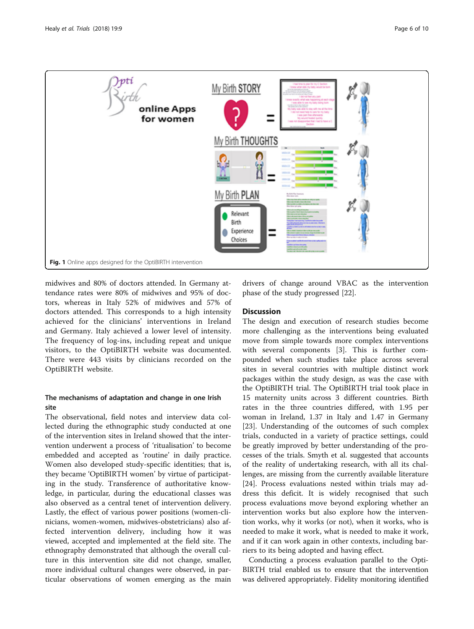<span id="page-5-0"></span>

midwives and 80% of doctors attended. In Germany attendance rates were 80% of midwives and 95% of doctors, whereas in Italy 52% of midwives and 57% of doctors attended. This corresponds to a high intensity achieved for the clinicians' interventions in Ireland and Germany. Italy achieved a lower level of intensity. The frequency of log-ins, including repeat and unique visitors, to the OptiBIRTH website was documented. There were 443 visits by clinicians recorded on the OptiBIRTH website.

# The mechanisms of adaptation and change in one Irish site

The observational, field notes and interview data collected during the ethnographic study conducted at one of the intervention sites in Ireland showed that the intervention underwent a process of 'ritualisation' to become embedded and accepted as 'routine' in daily practice. Women also developed study-specific identities; that is, they became 'OptiBIRTH women' by virtue of participating in the study. Transference of authoritative knowledge, in particular, during the educational classes was also observed as a central tenet of intervention delivery. Lastly, the effect of various power positions (women-clinicians, women-women, midwives-obstetricians) also affected intervention delivery, including how it was viewed, accepted and implemented at the field site. The ethnography demonstrated that although the overall culture in this intervention site did not change, smaller, more individual cultural changes were observed, in particular observations of women emerging as the main drivers of change around VBAC as the intervention phase of the study progressed [[22](#page-9-0)].

# **Discussion**

The design and execution of research studies become more challenging as the interventions being evaluated move from simple towards more complex interventions with several components [\[3](#page-9-0)]. This is further compounded when such studies take place across several sites in several countries with multiple distinct work packages within the study design, as was the case with the OptiBIRTH trial. The OptiBIRTH trial took place in 15 maternity units across 3 different countries. Birth rates in the three countries differed, with 1.95 per woman in Ireland, 1.37 in Italy and 1.47 in Germany [[23\]](#page-9-0). Understanding of the outcomes of such complex trials, conducted in a variety of practice settings, could be greatly improved by better understanding of the processes of the trials. Smyth et al. suggested that accounts of the reality of undertaking research, with all its challenges, are missing from the currently available literature [[24\]](#page-9-0). Process evaluations nested within trials may address this deficit. It is widely recognised that such process evaluations move beyond exploring whether an intervention works but also explore how the intervention works, why it works (or not), when it works, who is needed to make it work, what is needed to make it work, and if it can work again in other contexts, including barriers to its being adopted and having effect.

Conducting a process evaluation parallel to the Opti-BIRTH trial enabled us to ensure that the intervention was delivered appropriately. Fidelity monitoring identified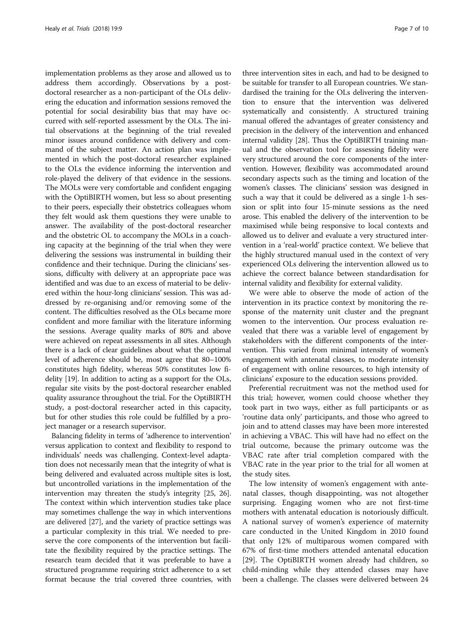implementation problems as they arose and allowed us to address them accordingly. Observations by a postdoctoral researcher as a non-participant of the OLs delivering the education and information sessions removed the potential for social desirability bias that may have occurred with self-reported assessment by the OLs. The initial observations at the beginning of the trial revealed minor issues around confidence with delivery and command of the subject matter. An action plan was implemented in which the post-doctoral researcher explained to the OLs the evidence informing the intervention and role-played the delivery of that evidence in the sessions. The MOLs were very comfortable and confident engaging with the OptiBIRTH women, but less so about presenting to their peers, especially their obstetrics colleagues whom they felt would ask them questions they were unable to answer. The availability of the post-doctoral researcher and the obstetric OL to accompany the MOLs in a coaching capacity at the beginning of the trial when they were delivering the sessions was instrumental in building their confidence and their technique. During the clinicians' sessions, difficulty with delivery at an appropriate pace was identified and was due to an excess of material to be delivered within the hour-long clinicians' session. This was addressed by re-organising and/or removing some of the content. The difficulties resolved as the OLs became more confident and more familiar with the literature informing the sessions. Average quality marks of 80% and above were achieved on repeat assessments in all sites. Although there is a lack of clear guidelines about what the optimal level of adherence should be, most agree that 80–100% constitutes high fidelity, whereas 50% constitutes low fidelity [[19](#page-9-0)]. In addition to acting as a support for the OLs, regular site visits by the post-doctoral researcher enabled quality assurance throughout the trial. For the OptiBIRTH study, a post-doctoral researcher acted in this capacity, but for other studies this role could be fulfilled by a project manager or a research supervisor.

Balancing fidelity in terms of 'adherence to intervention' versus application to context and flexibility to respond to individuals' needs was challenging. Context-level adaptation does not necessarily mean that the integrity of what is being delivered and evaluated across multiple sites is lost, but uncontrolled variations in the implementation of the intervention may threaten the study's integrity [\[25, 26](#page-9-0)]. The context within which intervention studies take place may sometimes challenge the way in which interventions are delivered [[27](#page-9-0)], and the variety of practice settings was a particular complexity in this trial. We needed to preserve the core components of the intervention but facilitate the flexibility required by the practice settings. The research team decided that it was preferable to have a structured programme requiring strict adherence to a set format because the trial covered three countries, with

three intervention sites in each, and had to be designed to be suitable for transfer to all European countries. We standardised the training for the OLs delivering the intervention to ensure that the intervention was delivered systematically and consistently. A structured training manual offered the advantages of greater consistency and precision in the delivery of the intervention and enhanced internal validity [\[28\]](#page-9-0). Thus the OptiBIRTH training manual and the observation tool for assessing fidelity were very structured around the core components of the intervention. However, flexibility was accommodated around secondary aspects such as the timing and location of the women's classes. The clinicians' session was designed in such a way that it could be delivered as a single 1-h session or split into four 15-minute sessions as the need arose. This enabled the delivery of the intervention to be maximised while being responsive to local contexts and allowed us to deliver and evaluate a very structured intervention in a 'real-world' practice context. We believe that the highly structured manual used in the context of very experienced OLs delivering the intervention allowed us to achieve the correct balance between standardisation for internal validity and flexibility for external validity.

We were able to observe the mode of action of the intervention in its practice context by monitoring the response of the maternity unit cluster and the pregnant women to the intervention. Our process evaluation revealed that there was a variable level of engagement by stakeholders with the different components of the intervention. This varied from minimal intensity of women's engagement with antenatal classes, to moderate intensity of engagement with online resources, to high intensity of clinicians' exposure to the education sessions provided.

Preferential recruitment was not the method used for this trial; however, women could choose whether they took part in two ways, either as full participants or as 'routine data only' participants, and those who agreed to join and to attend classes may have been more interested in achieving a VBAC. This will have had no effect on the trial outcome, because the primary outcome was the VBAC rate after trial completion compared with the VBAC rate in the year prior to the trial for all women at the study sites.

The low intensity of women's engagement with antenatal classes, though disappointing, was not altogether surprising. Engaging women who are not first-time mothers with antenatal education is notoriously difficult. A national survey of women's experience of maternity care conducted in the United Kingdom in 2010 found that only 12% of multiparous women compared with 67% of first-time mothers attended antenatal education [[29\]](#page-9-0). The OptiBIRTH women already had children, so child-minding while they attended classes may have been a challenge. The classes were delivered between 24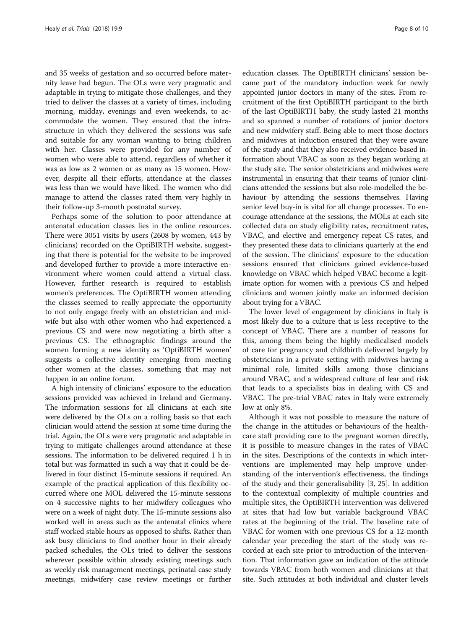and 35 weeks of gestation and so occurred before maternity leave had begun. The OLs were very pragmatic and adaptable in trying to mitigate those challenges, and they tried to deliver the classes at a variety of times, including morning, midday, evenings and even weekends, to accommodate the women. They ensured that the infrastructure in which they delivered the sessions was safe and suitable for any woman wanting to bring children with her. Classes were provided for any number of women who were able to attend, regardless of whether it was as low as 2 women or as many as 15 women. However, despite all their efforts, attendance at the classes was less than we would have liked. The women who did manage to attend the classes rated them very highly in their follow-up 3-month postnatal survey.

Perhaps some of the solution to poor attendance at antenatal education classes lies in the online resources. There were 3051 visits by users (2608 by women, 443 by clinicians) recorded on the OptiBIRTH website, suggesting that there is potential for the website to be improved and developed further to provide a more interactive environment where women could attend a virtual class. However, further research is required to establish women's preferences. The OptiBIRTH women attending the classes seemed to really appreciate the opportunity to not only engage freely with an obstetrician and midwife but also with other women who had experienced a previous CS and were now negotiating a birth after a previous CS. The ethnographic findings around the women forming a new identity as 'OptiBIRTH women' suggests a collective identity emerging from meeting other women at the classes, something that may not happen in an online forum.

A high intensity of clinicians' exposure to the education sessions provided was achieved in Ireland and Germany. The information sessions for all clinicians at each site were delivered by the OLs on a rolling basis so that each clinician would attend the session at some time during the trial. Again, the OLs were very pragmatic and adaptable in trying to mitigate challenges around attendance at these sessions. The information to be delivered required 1 h in total but was formatted in such a way that it could be delivered in four distinct 15-minute sessions if required. An example of the practical application of this flexibility occurred where one MOL delivered the 15-minute sessions on 4 successive nights to her midwifery colleagues who were on a week of night duty. The 15-minute sessions also worked well in areas such as the antenatal clinics where staff worked stable hours as opposed to shifts. Rather than ask busy clinicians to find another hour in their already packed schedules, the OLs tried to deliver the sessions wherever possible within already existing meetings such as weekly risk management meetings, perinatal case study meetings, midwifery case review meetings or further

education classes. The OptiBIRTH clinicians' session became part of the mandatory induction week for newly appointed junior doctors in many of the sites. From recruitment of the first OptiBIRTH participant to the birth of the last OptiBIRTH baby, the study lasted 21 months and so spanned a number of rotations of junior doctors and new midwifery staff. Being able to meet those doctors and midwives at induction ensured that they were aware of the study and that they also received evidence-based information about VBAC as soon as they began working at the study site. The senior obstetricians and midwives were instrumental in ensuring that their teams of junior clinicians attended the sessions but also role-modelled the behaviour by attending the sessions themselves. Having senior level buy-in is vital for all change processes. To encourage attendance at the sessions, the MOLs at each site collected data on study eligibility rates, recruitment rates, VBAC, and elective and emergency repeat CS rates, and they presented these data to clinicians quarterly at the end of the session. The clinicians' exposure to the education sessions ensured that clinicians gained evidence-based knowledge on VBAC which helped VBAC become a legitimate option for women with a previous CS and helped clinicians and women jointly make an informed decision about trying for a VBAC.

The lower level of engagement by clinicians in Italy is most likely due to a culture that is less receptive to the concept of VBAC. There are a number of reasons for this, among them being the highly medicalised models of care for pregnancy and childbirth delivered largely by obstetricians in a private setting with midwives having a minimal role, limited skills among those clinicians around VBAC, and a widespread culture of fear and risk that leads to a specialists bias in dealing with CS and VBAC. The pre-trial VBAC rates in Italy were extremely low at only 8%.

Although it was not possible to measure the nature of the change in the attitudes or behaviours of the healthcare staff providing care to the pregnant women directly, it is possible to measure changes in the rates of VBAC in the sites. Descriptions of the contexts in which interventions are implemented may help improve understanding of the intervention's effectiveness, the findings of the study and their generalisability [\[3](#page-9-0), [25\]](#page-9-0). In addition to the contextual complexity of multiple countries and multiple sites, the OptiBIRTH intervention was delivered at sites that had low but variable background VBAC rates at the beginning of the trial. The baseline rate of VBAC for women with one previous CS for a 12-month calendar year preceding the start of the study was recorded at each site prior to introduction of the intervention. That information gave an indication of the attitude towards VBAC from both women and clinicians at that site. Such attitudes at both individual and cluster levels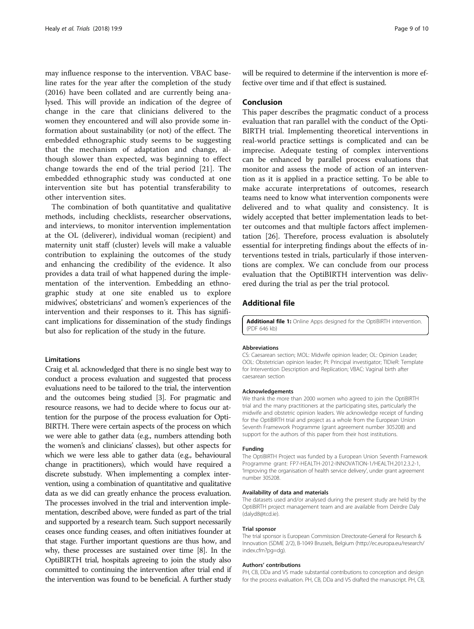<span id="page-8-0"></span>may influence response to the intervention. VBAC baseline rates for the year after the completion of the study (2016) have been collated and are currently being analysed. This will provide an indication of the degree of change in the care that clinicians delivered to the women they encountered and will also provide some information about sustainability (or not) of the effect. The embedded ethnographic study seems to be suggesting that the mechanism of adaptation and change, although slower than expected, was beginning to effect change towards the end of the trial period [[21\]](#page-9-0). The embedded ethnographic study was conducted at one intervention site but has potential transferability to other intervention sites.

The combination of both quantitative and qualitative methods, including checklists, researcher observations, and interviews, to monitor intervention implementation at the OL (deliverer), individual woman (recipient) and maternity unit staff (cluster) levels will make a valuable contribution to explaining the outcomes of the study and enhancing the credibility of the evidence. It also provides a data trail of what happened during the implementation of the intervention. Embedding an ethnographic study at one site enabled us to explore midwives', obstetricians' and women's experiences of the intervention and their responses to it. This has significant implications for dissemination of the study findings but also for replication of the study in the future.

# Limitations

Craig et al. acknowledged that there is no single best way to conduct a process evaluation and suggested that process evaluations need to be tailored to the trial, the intervention and the outcomes being studied [\[3\]](#page-9-0). For pragmatic and resource reasons, we had to decide where to focus our attention for the purpose of the process evaluation for Opti-BIRTH. There were certain aspects of the process on which we were able to gather data (e.g., numbers attending both the women's and clinicians' classes), but other aspects for which we were less able to gather data (e.g., behavioural change in practitioners), which would have required a discrete substudy. When implementing a complex intervention, using a combination of quantitative and qualitative data as we did can greatly enhance the process evaluation. The processes involved in the trial and intervention implementation, described above, were funded as part of the trial and supported by a research team. Such support necessarily ceases once funding ceases, and often initiatives founder at that stage. Further important questions are thus how, and why, these processes are sustained over time [[8](#page-9-0)]. In the OptiBIRTH trial, hospitals agreeing to join the study also committed to continuing the intervention after trial end if the intervention was found to be beneficial. A further study will be required to determine if the intervention is more effective over time and if that effect is sustained.

### Conclusion

This paper describes the pragmatic conduct of a process evaluation that ran parallel with the conduct of the Opti-BIRTH trial. Implementing theoretical interventions in real-world practice settings is complicated and can be imprecise. Adequate testing of complex interventions can be enhanced by parallel process evaluations that monitor and assess the mode of action of an intervention as it is applied in a practice setting. To be able to make accurate interpretations of outcomes, research teams need to know what intervention components were delivered and to what quality and consistency. It is widely accepted that better implementation leads to better outcomes and that multiple factors affect implementation [[26\]](#page-9-0). Therefore, process evaluation is absolutely essential for interpreting findings about the effects of interventions tested in trials, particularly if those interventions are complex. We can conclude from our process evaluation that the OptiBIRTH intervention was delivered during the trial as per the trial protocol.

# Additional file

[Additional file 1:](dx.doi.org/10.1186/s13063-017-2401-x) Online Apps designed for the OptiBIRTH intervention. (PDF 646 kb)

#### Abbreviations

CS: Caesarean section; MOL: Midwife opinion leader; OL: Opinion Leader; OOL: Obstetrician opinion leader; PI: Principal investigator; TIDieR: Template for Intervention Description and Replication; VBAC: Vaginal birth after caesarean section

#### Acknowledgements

We thank the more than 2000 women who agreed to join the OptiBIRTH trial and the many practitioners at the participating sites, particularly the midwife and obstetric opinion leaders. We acknowledge receipt of funding for the OptiBIRTH trial and project as a whole from the European Union Seventh Framework Programme (grant agreement number 305208) and support for the authors of this paper from their host institutions.

#### Funding

The OptiBIRTH Project was funded by a European Union Seventh Framework Programme grant: FP7-HEALTH-2012-INNOVATION-1/HEALTH.2012.3.2-1, 'Improving the organisation of health service delivery', under grant agreement number 305208.

#### Availability of data and materials

The datasets used and/or analysed during the present study are held by the OptiBIRTH project management team and are available from Deirdre Daly (dalyd8@tcd.ie).

#### Trial sponsor

The trial sponsor is European Commission Directorate-General for Research & Innovation (SDME 2/2), B-1049 Brussels, Belgium ([http://ec.europa.eu/research/](http://ec.europa.eu/research/index.cfm?pg=dg) [index.cfm?pg=dg](http://ec.europa.eu/research/index.cfm?pg=dg)).

#### Authors' contributions

PH, CB, DDa and VS made substantial contributions to conception and design for the process evaluation. PH, CB, DDa and VS drafted the manuscript. PH, CB,